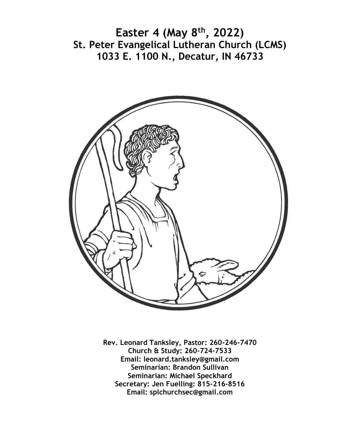**Easter 4 (May 8th, 2022) St. Peter Evangelical Lutheran Church (LCMS) 1033 E. 1100 N., Decatur, IN 46733**



**Rev. Leonard Tanksley, Pastor: 260-246-7470 Church & Study: 260-724-7533 Email: leonard.tanksley@gmail.com Seminarian: Brandon Sullivan Seminarian: Michael Speckhard Secretary: Jen Fuelling: 815-216-8516 Email: splchurchsec@gmail.com**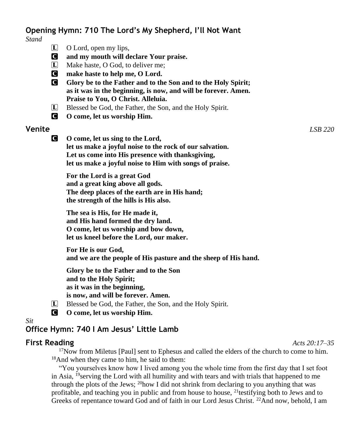# **Opening Hymn: 710 The Lord's My Shepherd, I'll Not Want**

*Stand*

- **L** O Lord, open my lips,
- C **and my mouth will declare Your praise.**
- L Make haste, O God, to deliver me;
- C **make haste to help me, O Lord.**
- C **Glory be to the Father and to the Son and to the Holy Spirit; as it was in the beginning, is now, and will be forever. Amen. Praise to You, O Christ. Alleluia.**
- L Blessed be God, the Father, the Son, and the Holy Spirit.
- C **O come, let us worship Him.**

## **Venite** *LSB 220*

C **O come, let us sing to the Lord, let us make a joyful noise to the rock of our salvation. Let us come into His presence with thanksgiving, let us make a joyful noise to Him with songs of praise.**

**For the Lord is a great God and a great king above all gods. The deep places of the earth are in His hand; the strength of the hills is His also.**

**The sea is His, for He made it, and His hand formed the dry land. O come, let us worship and bow down, let us kneel before the Lord, our maker.**

**For He is our God, and we are the people of His pasture and the sheep of His hand.**

**Glory be to the Father and to the Son and to the Holy Spirit; as it was in the beginning, is now, and will be forever. Amen.**

- L Blessed be God, the Father, the Son, and the Holy Spirit.
- C **O come, let us worship Him.**

*Sit*

## **Office Hymn: 740 I Am Jesus' Little Lamb**

#### **First Reading** *Acts 20:17–35*

 $17$ Now from Miletus [Paul] sent to Ephesus and called the elders of the church to come to him. <sup>18</sup>And when they came to him, he said to them:

"You yourselves know how I lived among you the whole time from the first day that I set foot in Asia, <sup>19</sup>serving the Lord with all humility and with tears and with trials that happened to me through the plots of the Jews;  $^{20}$ how I did not shrink from declaring to you anything that was profitable, and teaching you in public and from house to house, <sup>21</sup>testifying both to Jews and to Greeks of repentance toward God and of faith in our Lord Jesus Christ. <sup>22</sup>And now, behold, I am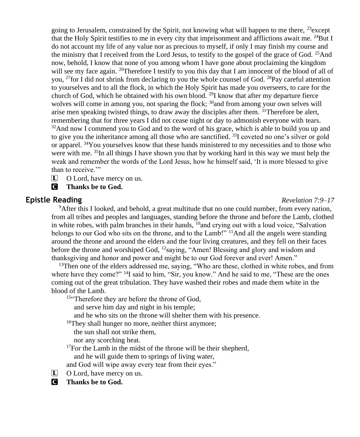going to Jerusalem, constrained by the Spirit, not knowing what will happen to me there,  $^{23}$ except that the Holy Spirit testifies to me in every city that imprisonment and afflictions await me.  $^{24}$ But I do not account my life of any value nor as precious to myself, if only I may finish my course and the ministry that I received from the Lord Jesus, to testify to the gospel of the grace of God. <sup>25</sup>And now, behold, I know that none of you among whom I have gone about proclaiming the kingdom will see my face again. <sup>26</sup>Therefore I testify to you this day that I am innocent of the blood of all of you, <sup>27</sup>for I did not shrink from declaring to you the whole counsel of God. <sup>28</sup>Pay careful attention to yourselves and to all the flock, in which the Holy Spirit has made you overseers, to care for the church of God, which he obtained with his own blood. <sup>29</sup>I know that after my departure fierce wolves will come in among you, not sparing the flock;  $30$  and from among your own selves will arise men speaking twisted things, to draw away the disciples after them. <sup>31</sup>Therefore be alert, remembering that for three years I did not cease night or day to admonish everyone with tears.  $32$ And now I commend you to God and to the word of his grace, which is able to build you up and to give you the inheritance among all those who are sanctified. <sup>33</sup>I coveted no one's silver or gold or apparel. <sup>34</sup>You yourselves know that these hands ministered to my necessities and to those who were with me.  $35$ In all things I have shown you that by working hard in this way we must help the weak and remember the words of the Lord Jesus, how he himself said, 'It is more blessed to give than to receive.'"

L O Lord, have mercy on us.

C **Thanks be to God.**

## **Epistle Reading** *Revelation 7:9–17*

<sup>9</sup>After this I looked, and behold, a great multitude that no one could number, from every nation, from all tribes and peoples and languages, standing before the throne and before the Lamb, clothed in white robes, with palm branches in their hands, <sup>10</sup>and crying out with a loud voice, "Salvation belongs to our God who sits on the throne, and to the Lamb!" <sup>11</sup>And all the angels were standing around the throne and around the elders and the four living creatures, and they fell on their faces before the throne and worshiped God, <sup>12</sup>saying, "Amen! Blessing and glory and wisdom and thanksgiving and honor and power and might be to our God forever and ever! Amen."

 $13$ Then one of the elders addressed me, saying, "Who are these, clothed in white robes, and from where have they come?" <sup>14</sup>I said to him, "Sir, you know." And he said to me, "These are the ones coming out of the great tribulation. They have washed their robes and made them white in the blood of the Lamb.

15"Therefore they are before the throne of God,

and serve him day and night in his temple;

and he who sits on the throne will shelter them with his presence.

<sup>16</sup>They shall hunger no more, neither thirst anymore;

the sun shall not strike them,

nor any scorching heat.

<sup>17</sup>For the Lamb in the midst of the throne will be their shepherd,

and he will guide them to springs of living water,

and God will wipe away every tear from their eyes."

- L O Lord, have mercy on us.
- C **Thanks be to God.**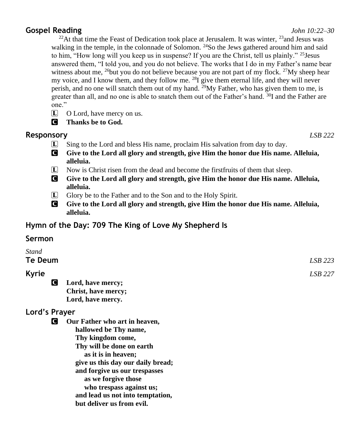**Gospel Reading** *John 10:22–30*

<sup>22</sup>At that time the Feast of Dedication took place at Jerusalem. It was winter, <sup>23</sup> and Jesus was walking in the temple, in the colonnade of Solomon.  $^{24}$ So the Jews gathered around him and said to him, "How long will you keep us in suspense? If you are the Christ, tell us plainly." <sup>25</sup> Jesus answered them, "I told you, and you do not believe. The works that I do in my Father's name bear witness about me, <sup>26</sup>but you do not believe because you are not part of my flock. <sup>27</sup>My sheep hear my voice, and I know them, and they follow me.  $^{28}I$  give them eternal life, and they will never perish, and no one will snatch them out of my hand. <sup>29</sup>My Father, who has given them to me, is greater than all, and no one is able to snatch them out of the Father's hand. <sup>30</sup>I and the Father are one."

- L O Lord, have mercy on us.
- C **Thanks be to God.**

# **Responsory** *LSB 222*

- 
- L Sing to the Lord and bless His name, proclaim His salvation from day to day.
- C **Give to the Lord all glory and strength, give Him the honor due His name. Alleluia, alleluia.**
- L Now is Christ risen from the dead and become the firstfruits of them that sleep.
- C **Give to the Lord all glory and strength, give Him the honor due His name. Alleluia, alleluia.**
- L Glory be to the Father and to the Son and to the Holy Spirit.
- C **Give to the Lord all glory and strength, give Him the honor due His name. Alleluia, alleluia.**

# **Hymn of the Day: 709 The King of Love My Shepherd Is**

# **Sermon**

| <b>Stand</b> |                                    |         |
|--------------|------------------------------------|---------|
| Te Deum      |                                    | LSB 223 |
| <b>Kyrie</b> |                                    | LSB 227 |
|              | C<br>Lord, have mercy;             |         |
|              | Christ, have mercy;                |         |
|              | Lord, have mercy.                  |         |
|              | Lord's Prayer                      |         |
|              | Our Father who art in heaven,<br>Ю |         |
|              | hallowed be Thy name,              |         |
|              | Thy kingdom come,                  |         |
|              | Thy will be done on earth          |         |
|              | as it is in heaven;                |         |
|              | give us this day our daily bread;  |         |
|              | and forgive us our trespasses      |         |
|              | as we forgive those                |         |
|              | who trespass against us;           |         |
|              | and lead us not into temptation,   |         |
|              | but deliver us from evil.          |         |
|              |                                    |         |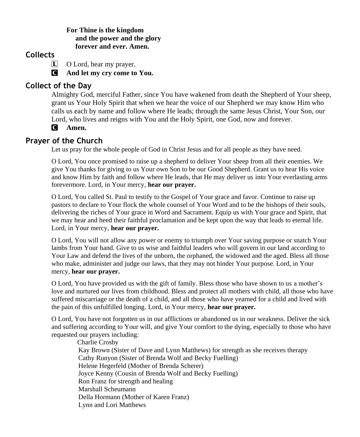#### **For Thine is the kingdom and the power and the glory forever and ever. Amen.**

## **Collects**

L O Lord, hear my prayer.

C **And let my cry come to You.**

# **Collect of the Day**

Almighty God, merciful Father, since You have wakened from death the Shepherd of Your sheep, grant us Your Holy Spirit that when we hear the voice of our Shepherd we may know Him who calls us each by name and follow where He leads; through the same Jesus Christ, Your Son, our Lord, who lives and reigns with You and the Holy Spirit, one God, now and forever.

C **Amen.**

# **Prayer of the Church**

Let us pray for the whole people of God in Christ Jesus and for all people as they have need.

O Lord, You once promised to raise up a shepherd to deliver Your sheep from all their enemies. We give You thanks for giving to us Your own Son to be our Good Shepherd. Grant us to hear His voice and know Him by faith and follow where He leads, that He may deliver us into Your everlasting arms forevermore. Lord, in Your mercy, **hear our prayer.**

O Lord, You called St. Paul to testify to the Gospel of Your grace and favor. Continue to raise up pastors to declare to Your flock the whole counsel of Your Word and to be the bishops of their souls, delivering the riches of Your grace in Word and Sacrament. Equip us with Your grace and Spirit, that we may hear and heed their faithful proclamation and be kept upon the way that leads to eternal life. Lord, in Your mercy, **hear our prayer.**

O Lord, You will not allow any power or enemy to triumph over Your saving purpose or snatch Your lambs from Your hand. Give to us wise and faithful leaders who will govern in our land according to Your Law and defend the lives of the unborn, the orphaned, the widowed and the aged. Bless all those who make, administer and judge our laws, that they may not hinder Your purpose. Lord, in Your mercy, **hear our prayer.**

O Lord, You have provided us with the gift of family. Bless those who have shown to us a mother's love and nurtured our lives from childhood. Bless and protect all mothers with child, all those who have suffered miscarriage or the death of a child, and all those who have yearned for a child and lived with the pain of this unfulfilled longing. Lord, in Your mercy, **hear our prayer.**

O Lord, You have not forgotten us in our afflictions or abandoned us in our weakness. Deliver the sick and suffering according to Your will, and give Your comfort to the dying, especially to those who have requested our prayers including:

 Charlie Crosby Kay Brown (Sister of Dave and Lynn Matthews) for strength as she receives therapy Cathy Runyon (Sister of Brenda Wolf and Becky Fuelling) Helene Hegerfeld (Mother of Brenda Scherer) Joyce Kenny (Cousin of Brenda Wolf and Becky Fuelling) Ron Franz for strength and healing Marshall Scheumann Della Hormann (Mother of Karen Franz) Lynn and Lori Matthews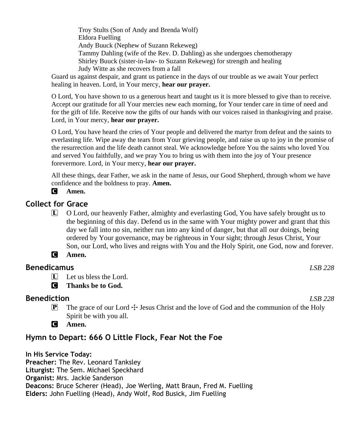Troy Stults (Son of Andy and Brenda Wolf) Eldora Fuelling Andy Buuck (Nephew of Suzann Rekeweg) Tammy Dahling (wife of the Rev. D. Dahling) as she undergoes chemotherapy Shirley Buuck (sister-in-law- to Suzann Rekeweg) for strength and healing Judy Witte as she recovers from a fall

Guard us against despair, and grant us patience in the days of our trouble as we await Your perfect healing in heaven. Lord, in Your mercy, **hear our prayer.**

O Lord, You have shown to us a generous heart and taught us it is more blessed to give than to receive. Accept our gratitude for all Your mercies new each morning, for Your tender care in time of need and for the gift of life. Receive now the gifts of our hands with our voices raised in thanksgiving and praise. Lord, in Your mercy, **hear our prayer.**

O Lord, You have heard the cries of Your people and delivered the martyr from defeat and the saints to everlasting life. Wipe away the tears from Your grieving people, and raise us up to joy in the promise of the resurrection and the life death cannot steal. We acknowledge before You the saints who loved You and served You faithfully, and we pray You to bring us with them into the joy of Your presence forevermore. Lord, in Your mercy, **hear our prayer.**

All these things, dear Father, we ask in the name of Jesus, our Good Shepherd, through whom we have confidence and the boldness to pray. **Amen.**

#### C **Amen.**

## **Collect for Grace**

L O Lord, our heavenly Father, almighty and everlasting God, You have safely brought us to the beginning of this day. Defend us in the same with Your mighty power and grant that this day we fall into no sin, neither run into any kind of danger, but that all our doings, being ordered by Your governance, may be righteous in Your sight; through Jesus Christ, Your Son, our Lord, who lives and reigns with You and the Holy Spirit, one God, now and forever.

## C **Amen.**

## **Benedicamus** *LSB 228*

 $\Box$  Let us bless the Lord.

C **Thanks be to God.**

## **Benediction** *LSB 228*

- 
- **P** The grace of our Lord  $\pm$  Jesus Christ and the love of God and the communion of the Holy Spirit be with you all.
- C **Amen.**

## **Hymn to Depart: 666 O Little Flock, Fear Not the Foe**

**In His Service Today: Preacher:** The Rev. Leonard Tanksley **Liturgist:** The Sem. Michael Speckhard **Organist:** Mrs. Jackie Sanderson **Deacons:** Bruce Scherer (Head), Joe Werling, Matt Braun, Fred M. Fuelling **Elders:** John Fuelling (Head), Andy Wolf, Rod Busick, Jim Fuelling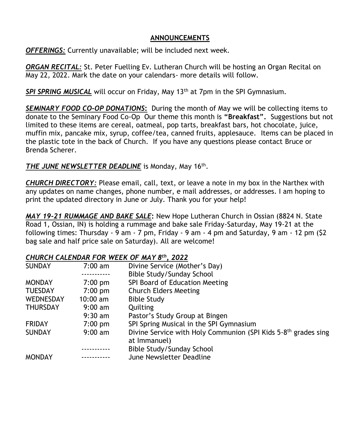#### **ANNOUNCEMENTS**

*OFFERINGS:* Currently unavailable; will be included next week.

*ORGAN RECITAL:* St. Peter Fuelling Ev. Lutheran Church will be hosting an Organ Recital on May 22, 2022. Mark the date on your calendars- more details will follow.

**SPI SPRING MUSICAL** will occur on Friday, May 13<sup>th</sup> at 7pm in the SPI Gymnasium.

*SEMINARY FOOD CO-OP DONATIONS***:** During the month of May we will be collecting items to donate to the Seminary Food Co-Op Our theme this month is **"Breakfast".** Suggestions but not limited to these items are cereal, oatmeal, pop tarts, breakfast bars, hot chocolate, juice, muffin mix, pancake mix, syrup, coffee/tea, canned fruits, applesauce. Items can be placed in the plastic tote in the back of Church. If you have any questions please contact Bruce or Brenda Scherer.

## THE JUNE NEWSLETTER DEADLINE is Monday, May 16<sup>th</sup>.

*CHURCH DIRECTORY:* Please email, call, text, or leave a note in my box in the Narthex with any updates on name changes, phone number, e mail addresses, or addresses. I am hoping to print the updated directory in June or July. Thank you for your help!

*MAY 19-21 RUMMAGE AND BAKE SALE***:** New Hope Lutheran Church in Ossian (8824 N. State Road 1, Ossian, IN) is holding a rummage and bake sale Friday-Saturday, May 19-21 at the following times: Thursday - 9 am - 7 pm, Friday - 9 am - 4 pm and Saturday, 9 am - 12 pm (\$2 bag sale and half price sale on Saturday). All are welcome!

#### *CHURCH CALENDAR FOR WEEK OF MAY 8 th, 2022*

| <b>SUNDAY</b>    | $7:00 \text{ am}$  | Divine Service (Mother's Day)                                              |
|------------------|--------------------|----------------------------------------------------------------------------|
|                  |                    | Bible Study/Sunday School                                                  |
| <b>MONDAY</b>    | $7:00 \text{ pm}$  | SPI Board of Education Meeting                                             |
| <b>TUESDAY</b>   | $7:00 \text{ pm}$  | <b>Church Elders Meeting</b>                                               |
| <b>WEDNESDAY</b> | $10:00 \text{ am}$ | <b>Bible Study</b>                                                         |
| <b>THURSDAY</b>  | $9:00 \text{ am}$  | Quilting                                                                   |
|                  | $9:30$ am          | Pastor's Study Group at Bingen                                             |
| <b>FRIDAY</b>    | $7:00 \text{ pm}$  | SPI Spring Musical in the SPI Gymnasium                                    |
| <b>SUNDAY</b>    | $9:00 \text{ am}$  | Divine Service with Holy Communion (SPI Kids 5-8 <sup>th</sup> grades sing |
|                  |                    | at Immanuel)                                                               |
|                  |                    | Bible Study/Sunday School                                                  |
| <b>MONDAY</b>    |                    | June Newsletter Deadline                                                   |